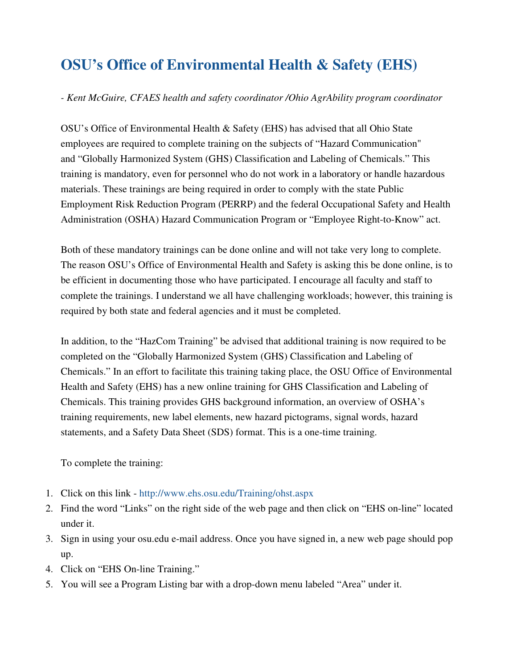## **OSU's Office of Environmental Health & Safety (EHS)**

## *- Kent McGuire, CFAES health and safety coordinator /Ohio AgrAbility program coordinator*

OSU's Office of Environmental Health & Safety (EHS) has advised that all Ohio State employees are required to complete training on the subjects of "Hazard Communication" and "Globally Harmonized System (GHS) Classification and Labeling of Chemicals." This training is mandatory, even for personnel who do not work in a laboratory or handle hazardous materials. These trainings are being required in order to comply with the state Public Employment Risk Reduction Program (PERRP) and the federal Occupational Safety and Health Administration (OSHA) Hazard Communication Program or "Employee Right-to-Know" act.

Both of these mandatory trainings can be done online and will not take very long to complete. The reason OSU's Office of Environmental Health and Safety is asking this be done online, is to be efficient in documenting those who have participated. I encourage all faculty and staff to complete the trainings. I understand we all have challenging workloads; however, this training is required by both state and federal agencies and it must be completed.

In addition, to the "HazCom Training" be advised that additional training is now required to be completed on the "Globally Harmonized System (GHS) Classification and Labeling of Chemicals." In an effort to facilitate this training taking place, the OSU Office of Environmental Health and Safety (EHS) has a new online training for GHS Classification and Labeling of Chemicals. This training provides GHS background information, an overview of OSHA's training requirements, new label elements, new hazard pictograms, signal words, hazard statements, and a Safety Data Sheet (SDS) format. This is a one-time training.

To complete the training:

- 1. Click on this link http://www.ehs.osu.edu/Training/ohst.aspx
- 2. Find the word "Links" on the right side of the web page and then click on "EHS on-line" located under it.
- 3. Sign in using your osu.edu e-mail address. Once you have signed in, a new web page should pop up.
- 4. Click on "EHS On-line Training."
- 5. You will see a Program Listing bar with a drop-down menu labeled "Area" under it.